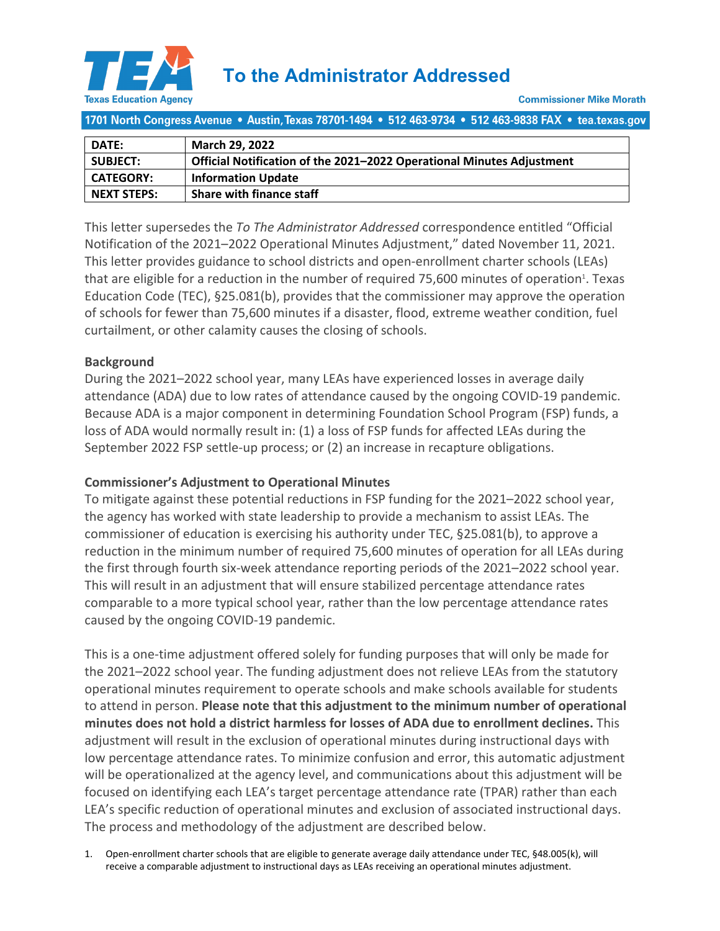

1701 North Congress Avenue • Austin, Texas 78701-1494 • 512 463-9734 • 512 463-9838 FAX • tea.texas.gov

| DATE:              | <b>March 29, 2022</b>                                                 |
|--------------------|-----------------------------------------------------------------------|
| <b>SUBJECT:</b>    | Official Notification of the 2021-2022 Operational Minutes Adjustment |
| <b>CATEGORY:</b>   | <b>Information Update</b>                                             |
| <b>NEXT STEPS:</b> | <b>Share with finance staff</b>                                       |

This letter supersedes the *To The Administrator Addressed* correspondence entitled "Official Notification of the 2021–2022 Operational Minutes Adjustment," dated November 11, 2021. This letter provides guidance to school districts and open-enrollment charter schools (LEAs) that are eligible for a reduction in the number of required 75,600 minutes of operation<sup>1</sup>. Texas Education Code (TEC), §25.081(b), provides that the commissioner may approve the operation of schools for fewer than 75,600 minutes if a disaster, flood, extreme weather condition, fuel curtailment, or other calamity causes the closing of schools.

#### **Background**

During the 2021–2022 school year, many LEAs have experienced losses in average daily attendance (ADA) due to low rates of attendance caused by the ongoing COVID-19 pandemic. Because ADA is a major component in determining Foundation School Program (FSP) funds, a loss of ADA would normally result in: (1) a loss of FSP funds for affected LEAs during the September 2022 FSP settle-up process; or (2) an increase in recapture obligations.

# **Commissioner's Adjustment to Operational Minutes**

To mitigate against these potential reductions in FSP funding for the 2021–2022 school year, the agency has worked with state leadership to provide a mechanism to assist LEAs. The commissioner of education is exercising his authority under TEC, §25.081(b), to approve a reduction in the minimum number of required 75,600 minutes of operation for all LEAs during the first through fourth six-week attendance reporting periods of the 2021–2022 school year. This will result in an adjustment that will ensure stabilized percentage attendance rates comparable to a more typical school year, rather than the low percentage attendance rates caused by the ongoing COVID-19 pandemic.

This is a one-time adjustment offered solely for funding purposes that will only be made for the 2021–2022 school year. The funding adjustment does not relieve LEAs from the statutory operational minutes requirement to operate schools and make schools available for students to attend in person. **Please note that this adjustment to the minimum number of operational minutes does not hold a district harmless for losses of ADA due to enrollment declines.** This adjustment will result in the exclusion of operational minutes during instructional days with low percentage attendance rates. To minimize confusion and error, this automatic adjustment will be operationalized at the agency level, and communications about this adjustment will be focused on identifying each LEA's target percentage attendance rate (TPAR) rather than each LEA's specific reduction of operational minutes and exclusion of associated instructional days. The process and methodology of the adjustment are described below.

1. Open-enrollment charter schools that are eligible to generate average daily attendance under TEC, §48.005(k), will receive a comparable adjustment to instructional days as LEAs receiving an operational minutes adjustment.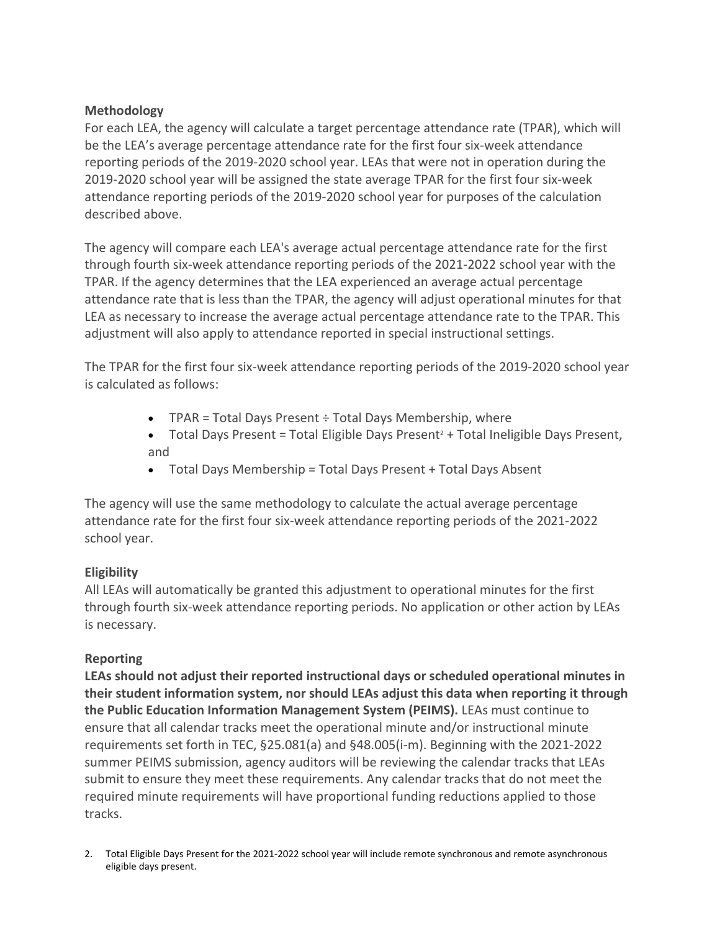#### **Methodology**

For each LEA, the agency will calculate a target percentage attendance rate (TPAR), which will be the LEA's average percentage attendance rate for the first four six-week attendance reporting periods of the 2019-2020 school year. LEAs that were not in operation during the 2019-2020 school year will be assigned the state average TPAR for the first four six-week attendance reporting periods of the 2019-2020 school year for purposes of the calculation described above.

The agency will compare each LEA's average actual percentage attendance rate for the first through fourth six-week attendance reporting periods of the 2021-2022 school year with the TPAR. If the agency determines that the LEA experienced an average actual percentage attendance rate that is less than the TPAR, the agency will adjust operational minutes for that LEA as necessary to increase the average actual percentage attendance rate to the TPAR. This adjustment will also apply to attendance reported in special instructional settings.

The TPAR for the first four six-week attendance reporting periods of the 2019-2020 school year is calculated as follows:

- TPAR = Total Days Present  $\div$  Total Days Membership, where
- Total Days Present = Total Eligible Days Present<sup>2</sup> + Total Ineligible Days Present, and
- Total Days Membership = Total Days Present + Total Days Absent

The agency will use the same methodology to calculate the actual average percentage attendance rate for the first four six-week attendance reporting periods of the 2021-2022 school year.

# **Eligibility**

All LEAs will automatically be granted this adjustment to operational minutes for the first through fourth six-week attendance reporting periods. No application or other action by LEAs is necessary.

# **Reporting**

**LEAs should not adjust their reported instructional days or scheduled operational minutes in their student information system, nor should LEAs adjust this data when reporting it through the Public Education Information Management System (PEIMS).** LEAs must continue to ensure that all calendar tracks meet the operational minute and/or instructional minute requirements set forth in TEC, §25.081(a) and §48.005(i-m). Beginning with the 2021-2022 summer PEIMS submission, agency auditors will be reviewing the calendar tracks that LEAs submit to ensure they meet these requirements. Any calendar tracks that do not meet the required minute requirements will have proportional funding reductions applied to those tracks.

2. Total Eligible Days Present for the 2021-2022 school year will include remote synchronous and remote asynchronous eligible days present.